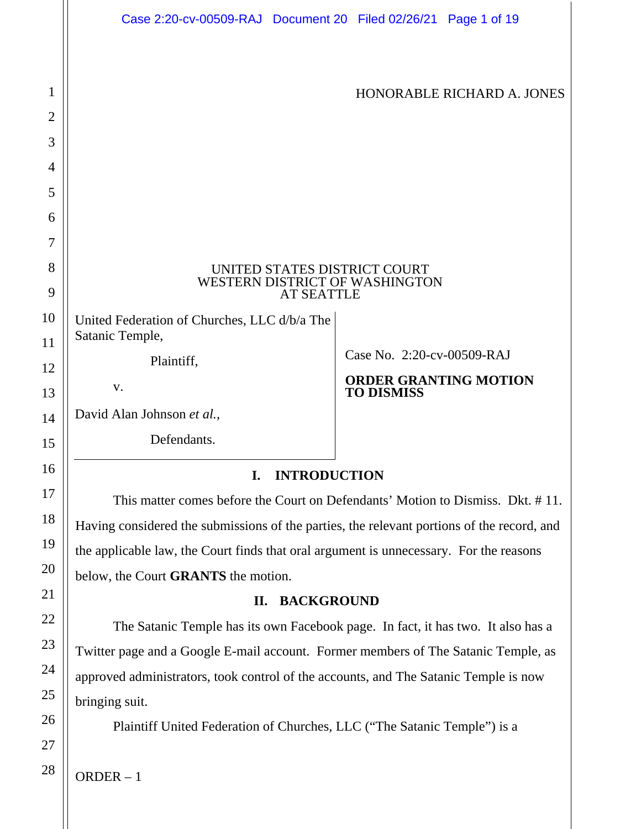| Case 2:20-cv-00509-RAJ Document 20 Filed 02/26/21 Page 1 of 19                      |                                                   |
|-------------------------------------------------------------------------------------|---------------------------------------------------|
|                                                                                     |                                                   |
|                                                                                     | HONORABLE RICHARD A. JONES                        |
|                                                                                     |                                                   |
|                                                                                     |                                                   |
|                                                                                     |                                                   |
|                                                                                     |                                                   |
|                                                                                     |                                                   |
| UNITED STATES DISTRICT COURT<br>WESTERN DISTRICT OF WASHINGTON<br><b>AT SEATTLE</b> |                                                   |
| United Federation of Churches, LLC d/b/a The<br>Satanic Temple,                     |                                                   |
| Plaintiff,                                                                          | Case No. 2:20-cv-00509-RAJ                        |
| V.                                                                                  | <b>ORDER GRANTING MOTION</b><br><b>TO DISMISS</b> |
| David Alan Johnson et al.,                                                          |                                                   |
| Defendants.                                                                         |                                                   |
| <b>INTRODUCTION</b><br>$\mathbf{I}$ .                                               |                                                   |

This matter comes before the Court on Defendants' Motion to Dismiss. Dkt. # 11. Having considered the submissions of the parties, the relevant portions of the record, and the applicable law, the Court finds that oral argument is unnecessary. For the reasons below, the Court **GRANTS** the motion.

# **II. BACKGROUND**

The Satanic Temple has its own Facebook page. In fact, it has two. It also has a Twitter page and a Google E-mail account. Former members of The Satanic Temple, as approved administrators, took control of the accounts, and The Satanic Temple is now bringing suit.

Plaintiff United Federation of Churches, LLC ("The Satanic Temple") is a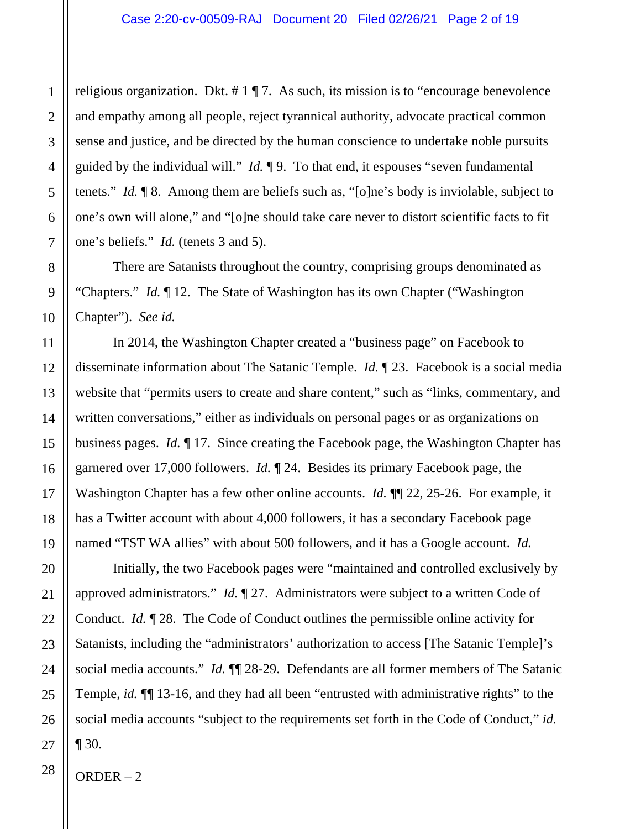religious organization. Dkt.  $\# 1 \P 7$ . As such, its mission is to "encourage benevolence and empathy among all people, reject tyrannical authority, advocate practical common sense and justice, and be directed by the human conscience to undertake noble pursuits guided by the individual will." *Id.* ¶ 9. To that end, it espouses "seven fundamental tenets." *Id.* ¶ 8. Among them are beliefs such as, "[o]ne's body is inviolable, subject to one's own will alone," and "[o]ne should take care never to distort scientific facts to fit one's beliefs." *Id.* (tenets 3 and 5).

There are Satanists throughout the country, comprising groups denominated as "Chapters." *Id.* ¶ 12. The State of Washington has its own Chapter ("Washington Chapter"). *See id.*

In 2014, the Washington Chapter created a "business page" on Facebook to disseminate information about The Satanic Temple. *Id.* ¶ 23. Facebook is a social media website that "permits users to create and share content," such as "links, commentary, and written conversations," either as individuals on personal pages or as organizations on business pages. *Id.* ¶ 17. Since creating the Facebook page, the Washington Chapter has garnered over 17,000 followers. *Id.* ¶ 24. Besides its primary Facebook page, the Washington Chapter has a few other online accounts. *Id.* **[1]** 22, 25-26. For example, it has a Twitter account with about 4,000 followers, it has a secondary Facebook page named "TST WA allies" with about 500 followers, and it has a Google account. *Id.*

Initially, the two Facebook pages were "maintained and controlled exclusively by approved administrators." *Id.* ¶ 27. Administrators were subject to a written Code of Conduct. *Id.* ¶ 28. The Code of Conduct outlines the permissible online activity for Satanists, including the "administrators' authorization to access [The Satanic Temple]'s social media accounts." *Id.* ¶¶ 28-29. Defendants are all former members of The Satanic Temple, *id.* ¶¶ 13-16, and they had all been "entrusted with administrative rights" to the social media accounts "subject to the requirements set forth in the Code of Conduct," *id.*  $\P 30.$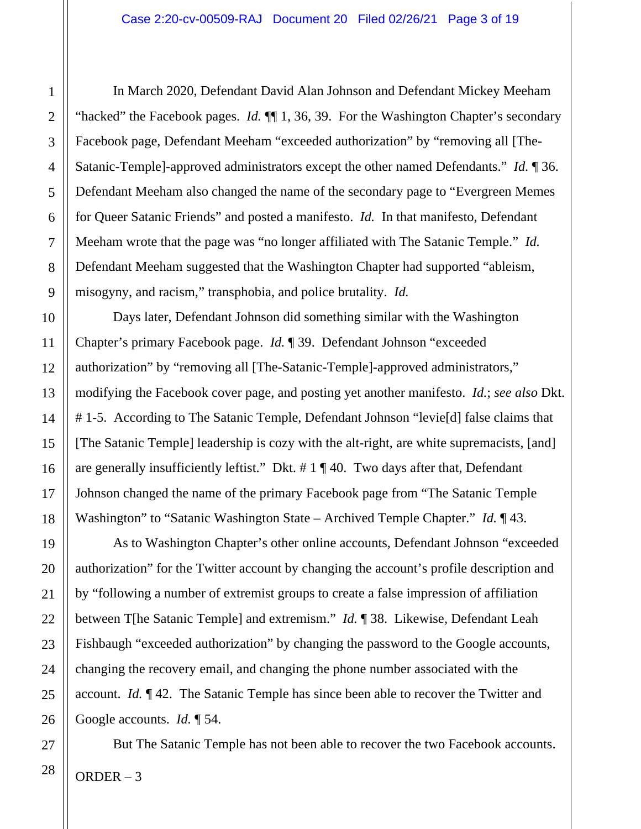In March 2020, Defendant David Alan Johnson and Defendant Mickey Meeham "hacked" the Facebook pages. *Id.* ¶¶ 1, 36, 39. For the Washington Chapter's secondary Facebook page, Defendant Meeham "exceeded authorization" by "removing all [The-Satanic-Temple]-approved administrators except the other named Defendants." *Id.* ¶ 36. Defendant Meeham also changed the name of the secondary page to "Evergreen Memes for Queer Satanic Friends" and posted a manifesto. *Id.* In that manifesto, Defendant Meeham wrote that the page was "no longer affiliated with The Satanic Temple." *Id.* Defendant Meeham suggested that the Washington Chapter had supported "ableism, misogyny, and racism," transphobia, and police brutality. *Id.*

Days later, Defendant Johnson did something similar with the Washington Chapter's primary Facebook page. *Id.* ¶ 39. Defendant Johnson "exceeded authorization" by "removing all [The-Satanic-Temple]-approved administrators," modifying the Facebook cover page, and posting yet another manifesto. *Id.*; *see also* Dkt. # 1-5. According to The Satanic Temple, Defendant Johnson "levie[d] false claims that [The Satanic Temple] leadership is cozy with the alt-right, are white supremacists, [and] are generally insufficiently leftist." Dkt.  $\# 1 \P 40$ . Two days after that, Defendant Johnson changed the name of the primary Facebook page from "The Satanic Temple Washington" to "Satanic Washington State – Archived Temple Chapter." *Id.* ¶ 43.

As to Washington Chapter's other online accounts, Defendant Johnson "exceeded authorization" for the Twitter account by changing the account's profile description and by "following a number of extremist groups to create a false impression of affiliation between T[he Satanic Temple] and extremism." *Id.* ¶ 38. Likewise, Defendant Leah Fishbaugh "exceeded authorization" by changing the password to the Google accounts, changing the recovery email, and changing the phone number associated with the account. *Id.* ¶ 42. The Satanic Temple has since been able to recover the Twitter and Google accounts. *Id.* ¶ 54.

But The Satanic Temple has not been able to recover the two Facebook accounts.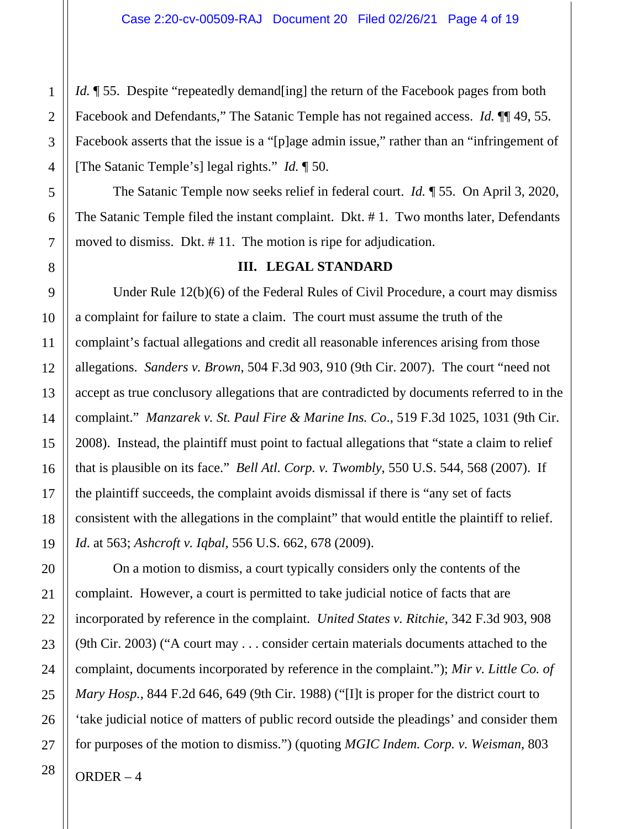*Id.* 155. Despite "repeatedly demand [ing] the return of the Facebook pages from both Facebook and Defendants," The Satanic Temple has not regained access. *Id.* ¶¶ 49, 55. Facebook asserts that the issue is a "[p]age admin issue," rather than an "infringement of [The Satanic Temple's] legal rights." *Id.* ¶ 50.

The Satanic Temple now seeks relief in federal court. *Id.* ¶ 55. On April 3, 2020, The Satanic Temple filed the instant complaint. Dkt. # 1. Two months later, Defendants moved to dismiss. Dkt. # 11. The motion is ripe for adjudication.

#### **III. LEGAL STANDARD**

Under Rule 12(b)(6) of the Federal Rules of Civil Procedure, a court may dismiss a complaint for failure to state a claim. The court must assume the truth of the complaint's factual allegations and credit all reasonable inferences arising from those allegations. *Sanders v. Brown*, 504 F.3d 903, 910 (9th Cir. 2007). The court "need not accept as true conclusory allegations that are contradicted by documents referred to in the complaint." *Manzarek v. St. Paul Fire & Marine Ins. Co*., 519 F.3d 1025, 1031 (9th Cir. 2008). Instead, the plaintiff must point to factual allegations that "state a claim to relief that is plausible on its face." *Bell Atl. Corp. v. Twombly*, 550 U.S. 544, 568 (2007). If the plaintiff succeeds, the complaint avoids dismissal if there is "any set of facts consistent with the allegations in the complaint" that would entitle the plaintiff to relief. *Id*. at 563; *Ashcroft v. Iqbal*, 556 U.S. 662, 678 (2009).

On a motion to dismiss, a court typically considers only the contents of the complaint. However, a court is permitted to take judicial notice of facts that are incorporated by reference in the complaint. *United States v. Ritchie*, 342 F.3d 903, 908 (9th Cir. 2003) ("A court may . . . consider certain materials documents attached to the complaint, documents incorporated by reference in the complaint."); *Mir v. Little Co. of Mary Hosp.*, 844 F.2d 646, 649 (9th Cir. 1988) ("[I]t is proper for the district court to 'take judicial notice of matters of public record outside the pleadings' and consider them for purposes of the motion to dismiss.") (quoting *MGIC Indem. Corp. v. Weisman*, 803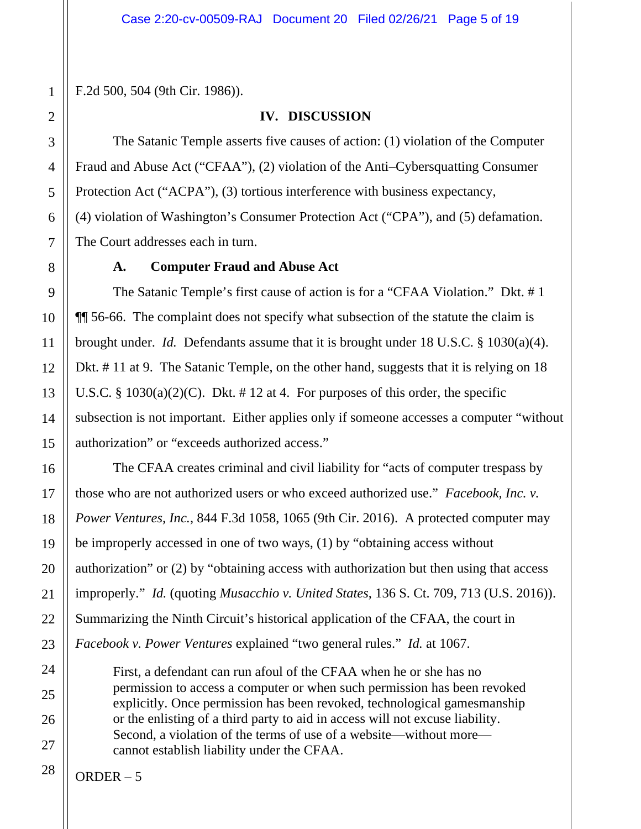F.2d 500, 504 (9th Cir. 1986)).

#### **IV. DISCUSSION**

The Satanic Temple asserts five causes of action: (1) violation of the Computer Fraud and Abuse Act ("CFAA"), (2) violation of the Anti–Cybersquatting Consumer Protection Act ("ACPA"), (3) tortious interference with business expectancy, (4) violation of Washington's Consumer Protection Act ("CPA"), and (5) defamation. The Court addresses each in turn.

### **A. Computer Fraud and Abuse Act**

The Satanic Temple's first cause of action is for a "CFAA Violation." Dkt. # 1 ¶¶ 56-66. The complaint does not specify what subsection of the statute the claim is brought under. *Id.* Defendants assume that it is brought under 18 U.S.C. § 1030(a)(4). Dkt. # 11 at 9. The Satanic Temple, on the other hand, suggests that it is relying on 18 U.S.C. §  $1030(a)(2)(C)$ . Dkt. #12 at 4. For purposes of this order, the specific subsection is not important. Either applies only if someone accesses a computer "without authorization" or "exceeds authorized access."

The CFAA creates criminal and civil liability for "acts of computer trespass by those who are not authorized users or who exceed authorized use." *Facebook, Inc. v. Power Ventures, Inc.*, 844 F.3d 1058, 1065 (9th Cir. 2016). A protected computer may be improperly accessed in one of two ways, (1) by "obtaining access without authorization" or (2) by "obtaining access with authorization but then using that access improperly." *Id.* (quoting *Musacchio v. United States*, 136 S. Ct. 709, 713 (U.S. 2016)). Summarizing the Ninth Circuit's historical application of the CFAA, the court in *Facebook v. Power Ventures* explained "two general rules." *Id.* at 1067.

First, a defendant can run afoul of the CFAA when he or she has no permission to access a computer or when such permission has been revoked explicitly. Once permission has been revoked, technological gamesmanship or the enlisting of a third party to aid in access will not excuse liability. Second, a violation of the terms of use of a website—without more cannot establish liability under the CFAA.

ORDER – 5

28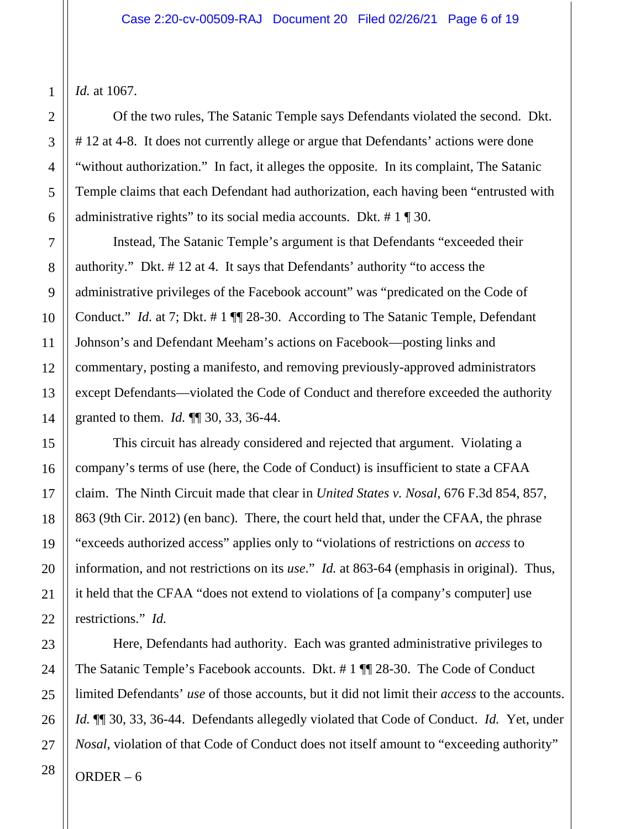*Id.* at 1067.

Of the two rules, The Satanic Temple says Defendants violated the second. Dkt. # 12 at 4-8. It does not currently allege or argue that Defendants' actions were done "without authorization." In fact, it alleges the opposite. In its complaint, The Satanic Temple claims that each Defendant had authorization, each having been "entrusted with administrative rights" to its social media accounts. Dkt. # 1 ¶ 30.

Instead, The Satanic Temple's argument is that Defendants "exceeded their authority." Dkt. # 12 at 4. It says that Defendants' authority "to access the administrative privileges of the Facebook account" was "predicated on the Code of Conduct." *Id.* at 7; Dkt. # 1 ¶¶ 28-30. According to The Satanic Temple, Defendant Johnson's and Defendant Meeham's actions on Facebook—posting links and commentary, posting a manifesto, and removing previously-approved administrators except Defendants—violated the Code of Conduct and therefore exceeded the authority granted to them. *Id.* ¶¶ 30, 33, 36-44.

This circuit has already considered and rejected that argument. Violating a company's terms of use (here, the Code of Conduct) is insufficient to state a CFAA claim. The Ninth Circuit made that clear in *United States v. Nosal*, 676 F.3d 854, 857, 863 (9th Cir. 2012) (en banc). There, the court held that, under the CFAA, the phrase "exceeds authorized access" applies only to "violations of restrictions on *access* to information, and not restrictions on its *use*." *Id.* at 863-64 (emphasis in original). Thus, it held that the CFAA "does not extend to violations of [a company's computer] use restrictions." *Id.*

Here, Defendants had authority. Each was granted administrative privileges to The Satanic Temple's Facebook accounts. Dkt. # 1 ¶¶ 28-30. The Code of Conduct limited Defendants' *use* of those accounts, but it did not limit their *access* to the accounts. *Id.* ¶¶ 30, 33, 36-44. Defendants allegedly violated that Code of Conduct. *Id.* Yet, under *Nosal*, violation of that Code of Conduct does not itself amount to "exceeding authority"

ORDER  $-6$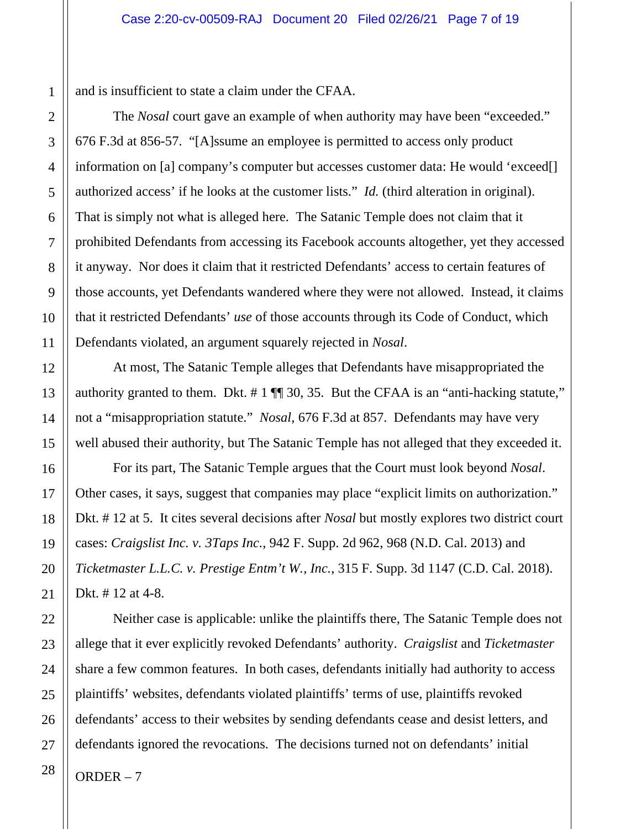and is insufficient to state a claim under the CFAA.

The *Nosal* court gave an example of when authority may have been "exceeded." 676 F.3d at 856-57. "[A]ssume an employee is permitted to access only product information on [a] company's computer but accesses customer data: He would 'exceed[] authorized access' if he looks at the customer lists." *Id.* (third alteration in original). That is simply not what is alleged here. The Satanic Temple does not claim that it prohibited Defendants from accessing its Facebook accounts altogether, yet they accessed it anyway. Nor does it claim that it restricted Defendants' access to certain features of those accounts, yet Defendants wandered where they were not allowed. Instead, it claims that it restricted Defendants' *use* of those accounts through its Code of Conduct, which Defendants violated, an argument squarely rejected in *Nosal*.

At most, The Satanic Temple alleges that Defendants have misappropriated the authority granted to them. Dkt. # 1 ¶¶ 30, 35. But the CFAA is an "anti-hacking statute," not a "misappropriation statute." *Nosal*, 676 F.3d at 857. Defendants may have very well abused their authority, but The Satanic Temple has not alleged that they exceeded it.

For its part, The Satanic Temple argues that the Court must look beyond *Nosal*. Other cases, it says, suggest that companies may place "explicit limits on authorization." Dkt. # 12 at 5. It cites several decisions after *Nosal* but mostly explores two district court cases: *Craigslist Inc. v. 3Taps Inc.*, 942 F. Supp. 2d 962, 968 (N.D. Cal. 2013) and *Ticketmaster L.L.C. v. Prestige Entm't W., Inc.*, 315 F. Supp. 3d 1147 (C.D. Cal. 2018). Dkt. # 12 at 4-8.

Neither case is applicable: unlike the plaintiffs there, The Satanic Temple does not allege that it ever explicitly revoked Defendants' authority. *Craigslist* and *Ticketmaster* share a few common features. In both cases, defendants initially had authority to access plaintiffs' websites, defendants violated plaintiffs' terms of use, plaintiffs revoked defendants' access to their websites by sending defendants cease and desist letters, and defendants ignored the revocations. The decisions turned not on defendants' initial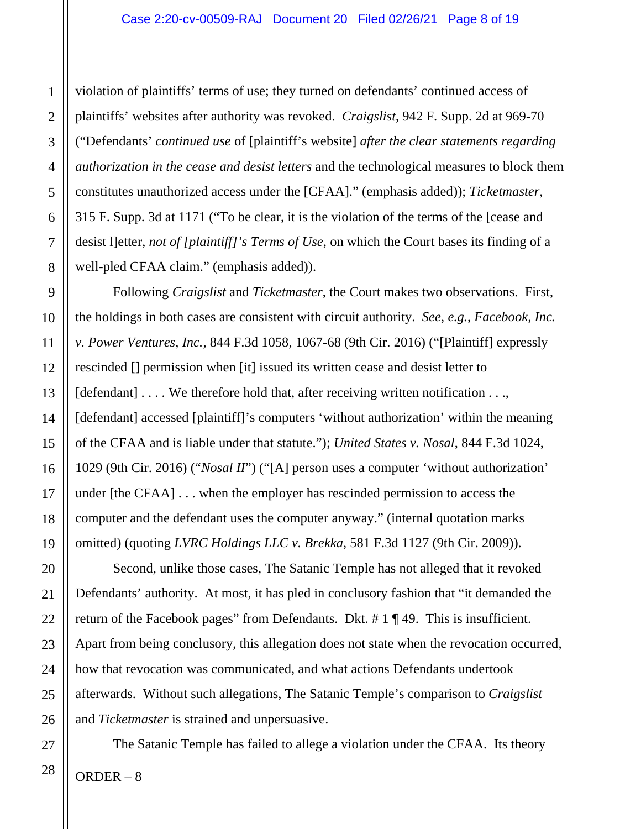violation of plaintiffs' terms of use; they turned on defendants' continued access of plaintiffs' websites after authority was revoked. *Craigslist*, 942 F. Supp. 2d at 969-70 ("Defendants' *continued use* of [plaintiff's website] *after the clear statements regarding authorization in the cease and desist letters* and the technological measures to block them constitutes unauthorized access under the [CFAA]." (emphasis added)); *Ticketmaster*, 315 F. Supp. 3d at 1171 ("To be clear, it is the violation of the terms of the [cease and desist l]etter, *not of [plaintiff]'s Terms of Use*, on which the Court bases its finding of a well-pled CFAA claim." (emphasis added)).

Following *Craigslist* and *Ticketmaster*, the Court makes two observations. First, the holdings in both cases are consistent with circuit authority. *See, e.g.*, *Facebook, Inc. v. Power Ventures, Inc.*, 844 F.3d 1058, 1067-68 (9th Cir. 2016) ("[Plaintiff] expressly rescinded [] permission when [it] issued its written cease and desist letter to [defendant] . . . . We therefore hold that, after receiving written notification . . ., [defendant] accessed [plaintiff]'s computers 'without authorization' within the meaning of the CFAA and is liable under that statute."); *United States v. Nosal*, 844 F.3d 1024, 1029 (9th Cir. 2016) ("*Nosal II*") ("[A] person uses a computer 'without authorization' under [the CFAA] . . . when the employer has rescinded permission to access the computer and the defendant uses the computer anyway." (internal quotation marks omitted) (quoting *LVRC Holdings LLC v. Brekka*, 581 F.3d 1127 (9th Cir. 2009)).

Second, unlike those cases, The Satanic Temple has not alleged that it revoked Defendants' authority. At most, it has pled in conclusory fashion that "it demanded the return of the Facebook pages" from Defendants. Dkt. # 1 ¶ 49. This is insufficient. Apart from being conclusory, this allegation does not state when the revocation occurred, how that revocation was communicated, and what actions Defendants undertook afterwards. Without such allegations, The Satanic Temple's comparison to *Craigslist* and *Ticketmaster* is strained and unpersuasive.

The Satanic Temple has failed to allege a violation under the CFAA. Its theory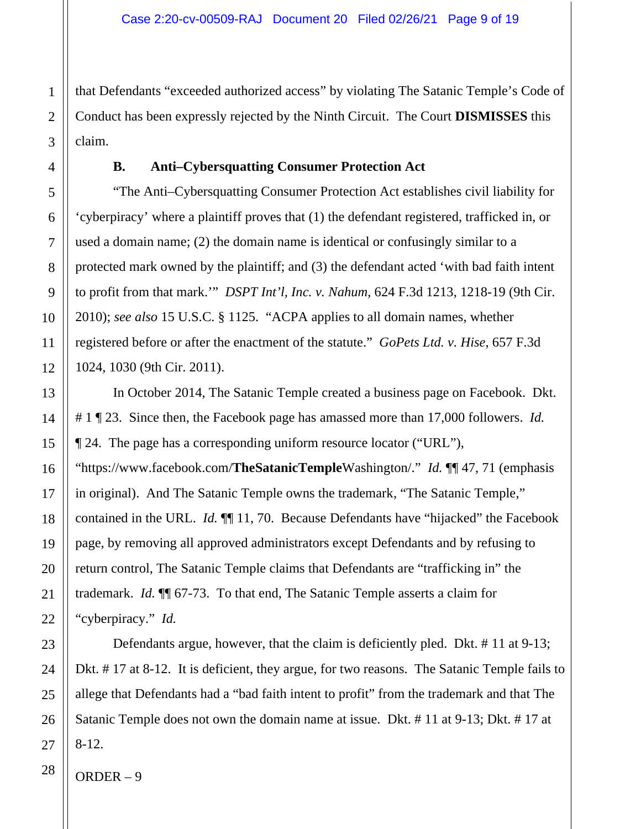that Defendants "exceeded authorized access" by violating The Satanic Temple's Code of Conduct has been expressly rejected by the Ninth Circuit. The Court **DISMISSES** this claim.

### **B. Anti–Cybersquatting Consumer Protection Act**

"The Anti–Cybersquatting Consumer Protection Act establishes civil liability for 'cyberpiracy' where a plaintiff proves that (1) the defendant registered, trafficked in, or used a domain name; (2) the domain name is identical or confusingly similar to a protected mark owned by the plaintiff; and (3) the defendant acted 'with bad faith intent to profit from that mark.'" *DSPT Int'l, Inc. v. Nahum*, 624 F.3d 1213, 1218-19 (9th Cir. 2010); *see also* 15 U.S.C. § 1125. "ACPA applies to all domain names, whether registered before or after the enactment of the statute." *GoPets Ltd. v. Hise*, 657 F.3d 1024, 1030 (9th Cir. 2011).

In October 2014, The Satanic Temple created a business page on Facebook. Dkt. # 1 ¶ 23. Since then, the Facebook page has amassed more than 17,000 followers. *Id.* ¶ 24. The page has a corresponding uniform resource locator ("URL"), "https://www.facebook.com/**TheSatanicTemple**Washington/." *Id.* ¶¶ 47, 71 (emphasis in original). And The Satanic Temple owns the trademark, "The Satanic Temple," contained in the URL. *Id.* ¶¶ 11, 70. Because Defendants have "hijacked" the Facebook page, by removing all approved administrators except Defendants and by refusing to return control, The Satanic Temple claims that Defendants are "trafficking in" the trademark. *Id.* ¶¶ 67-73. To that end, The Satanic Temple asserts a claim for "cyberpiracy." *Id.*

Defendants argue, however, that the claim is deficiently pled. Dkt. # 11 at 9-13; Dkt. # 17 at 8-12. It is deficient, they argue, for two reasons. The Satanic Temple fails to allege that Defendants had a "bad faith intent to profit" from the trademark and that The Satanic Temple does not own the domain name at issue. Dkt. # 11 at 9-13; Dkt. # 17 at 8-12.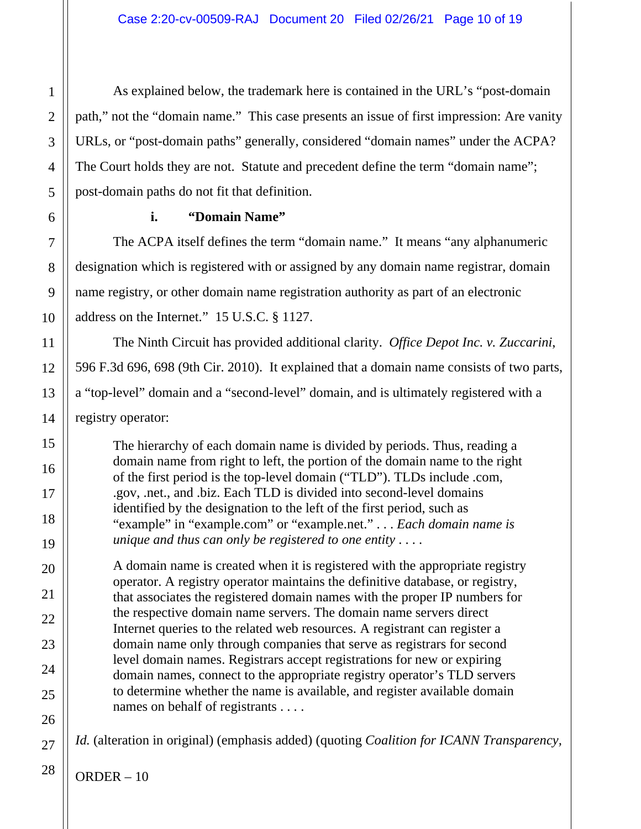As explained below, the trademark here is contained in the URL's "post-domain path," not the "domain name." This case presents an issue of first impression: Are vanity URLs, or "post-domain paths" generally, considered "domain names" under the ACPA? The Court holds they are not. Statute and precedent define the term "domain name"; post-domain paths do not fit that definition.

# **i. "Domain Name"**

The ACPA itself defines the term "domain name." It means "any alphanumeric designation which is registered with or assigned by any domain name registrar, domain name registry, or other domain name registration authority as part of an electronic address on the Internet." 15 U.S.C. § 1127.

The Ninth Circuit has provided additional clarity. *Office Depot Inc. v. Zuccarini*, 596 F.3d 696, 698 (9th Cir. 2010). It explained that a domain name consists of two parts, a "top-level" domain and a "second-level" domain, and is ultimately registered with a registry operator:

The hierarchy of each domain name is divided by periods. Thus, reading a domain name from right to left, the portion of the domain name to the right of the first period is the top-level domain ("TLD"). TLDs include .com, .gov, .net., and .biz. Each TLD is divided into second-level domains identified by the designation to the left of the first period, such as "example" in "example.com" or "example.net." . . . *Each domain name is unique and thus can only be registered to one entity* . . . .

A domain name is created when it is registered with the appropriate registry operator. A registry operator maintains the definitive database, or registry, that associates the registered domain names with the proper IP numbers for the respective domain name servers. The domain name servers direct Internet queries to the related web resources. A registrant can register a domain name only through companies that serve as registrars for second level domain names. Registrars accept registrations for new or expiring domain names, connect to the appropriate registry operator's TLD servers to determine whether the name is available, and register available domain names on behalf of registrants . . . .

*Id.* (alteration in original) (emphasis added) (quoting *Coalition for ICANN Transparency,* 

1

2

3

4

5

6

7

8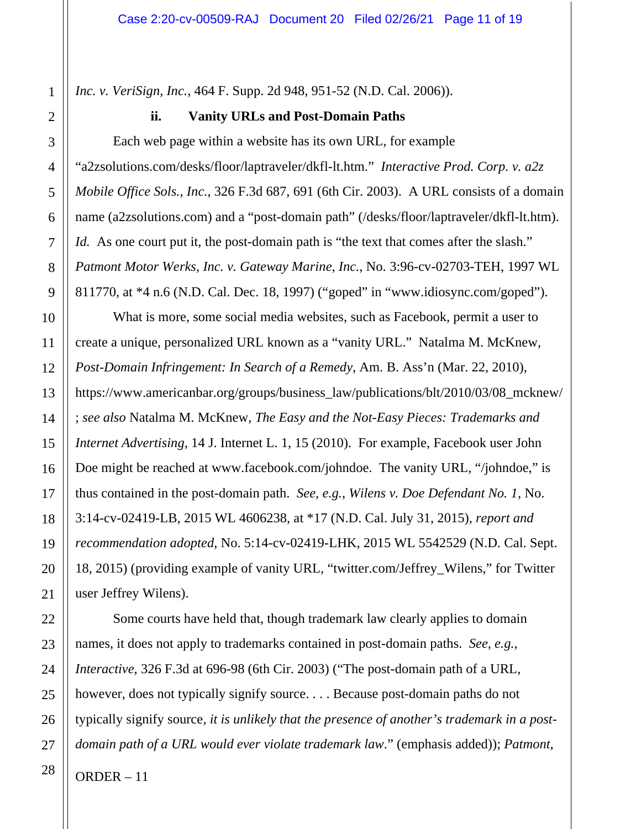*Inc. v. VeriSign, Inc.*, 464 F. Supp. 2d 948, 951-52 (N.D. Cal. 2006)).

### **ii. Vanity URLs and Post-Domain Paths**

Each web page within a website has its own URL, for example "a2zsolutions.com/desks/floor/laptraveler/dkfl-lt.htm." *Interactive Prod. Corp. v. a2z Mobile Office Sols., Inc.*, 326 F.3d 687, 691 (6th Cir. 2003). A URL consists of a domain name (a2zsolutions.com) and a "post-domain path" (/desks/floor/laptraveler/dkfl-lt.htm). *Id.* As one court put it, the post-domain path is "the text that comes after the slash." *Patmont Motor Werks, Inc. v. Gateway Marine, Inc.*, No. 3:96-cv-02703-TEH, 1997 WL 811770, at \*4 n.6 (N.D. Cal. Dec. 18, 1997) ("goped" in "www.idiosync.com/goped").

What is more, some social media websites, such as Facebook, permit a user to create a unique, personalized URL known as a "vanity URL." Natalma M. McKnew, *Post-Domain Infringement: In Search of a Remedy*, Am. B. Ass'n (Mar. 22, 2010), https://www.americanbar.org/groups/business\_law/publications/blt/2010/03/08\_mcknew/ ; *see also* Natalma M. McKnew, *The Easy and the Not-Easy Pieces: Trademarks and Internet Advertising*, 14 J. Internet L. 1, 15 (2010). For example, Facebook user John Doe might be reached at www.facebook.com/johndoe. The vanity URL, "/johndoe," is thus contained in the post-domain path. *See, e.g.*, *Wilens v. Doe Defendant No. 1*, No. 3:14-cv-02419-LB, 2015 WL 4606238, at \*17 (N.D. Cal. July 31, 2015), *report and recommendation adopted*, No. 5:14-cv-02419-LHK, 2015 WL 5542529 (N.D. Cal. Sept. 18, 2015) (providing example of vanity URL, "twitter.com/Jeffrey\_Wilens," for Twitter user Jeffrey Wilens).

Some courts have held that, though trademark law clearly applies to domain names, it does not apply to trademarks contained in post-domain paths. *See, e.g.*, *Interactive*, 326 F.3d at 696-98 (6th Cir. 2003) ("The post-domain path of a URL, however, does not typically signify source. . . . Because post-domain paths do not typically signify source, *it is unlikely that the presence of another's trademark in a postdomain path of a URL would ever violate trademark law*." (emphasis added)); *Patmont*,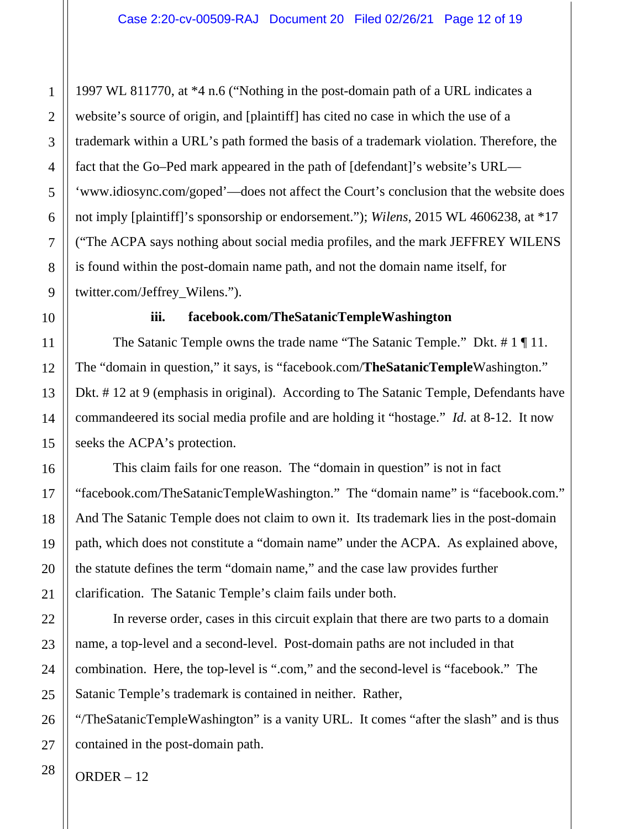1997 WL 811770, at \*4 n.6 ("Nothing in the post-domain path of a URL indicates a website's source of origin, and [plaintiff] has cited no case in which the use of a trademark within a URL's path formed the basis of a trademark violation. Therefore, the fact that the Go–Ped mark appeared in the path of [defendant]'s website's URL— 'www.idiosync.com/goped'—does not affect the Court's conclusion that the website does not imply [plaintiff]'s sponsorship or endorsement."); *Wilens*, 2015 WL 4606238, at \*17 ("The ACPA says nothing about social media profiles, and the mark JEFFREY WILENS is found within the post-domain name path, and not the domain name itself, for twitter.com/Jeffrey\_Wilens.").

1

2

3

4

5

6

7

8

9

10

11

12

13

14

15

16

17

18

19

20

21

# **iii. facebook.com/TheSatanicTempleWashington**

The Satanic Temple owns the trade name "The Satanic Temple." Dkt. # 1 | 11. The "domain in question," it says, is "facebook.com/**TheSatanicTemple**Washington." Dkt. # 12 at 9 (emphasis in original). According to The Satanic Temple, Defendants have commandeered its social media profile and are holding it "hostage." *Id.* at 8-12. It now seeks the ACPA's protection.

This claim fails for one reason. The "domain in question" is not in fact "facebook.com/TheSatanicTempleWashington." The "domain name" is "facebook.com." And The Satanic Temple does not claim to own it. Its trademark lies in the post-domain path, which does not constitute a "domain name" under the ACPA. As explained above, the statute defines the term "domain name," and the case law provides further clarification. The Satanic Temple's claim fails under both.

In reverse order, cases in this circuit explain that there are two parts to a domain name, a top-level and a second-level. Post-domain paths are not included in that combination. Here, the top-level is ".com," and the second-level is "facebook." The Satanic Temple's trademark is contained in neither. Rather,

"/TheSatanicTempleWashington" is a vanity URL. It comes "after the slash" and is thus contained in the post-domain path.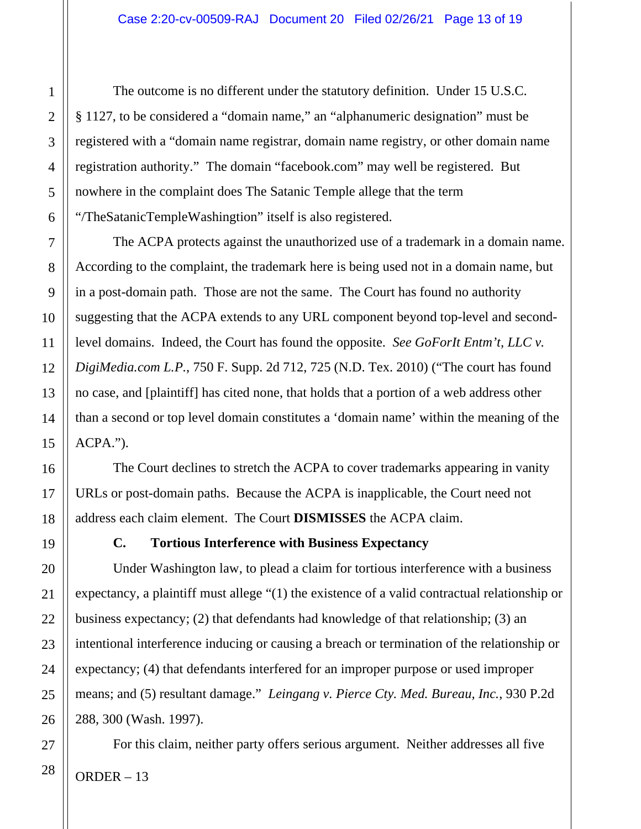The outcome is no different under the statutory definition. Under 15 U.S.C. § 1127, to be considered a "domain name," an "alphanumeric designation" must be registered with a "domain name registrar, domain name registry, or other domain name registration authority." The domain "facebook.com" may well be registered. But nowhere in the complaint does The Satanic Temple allege that the term "/TheSatanicTempleWashingtion" itself is also registered.

The ACPA protects against the unauthorized use of a trademark in a domain name. According to the complaint, the trademark here is being used not in a domain name, but in a post-domain path. Those are not the same. The Court has found no authority suggesting that the ACPA extends to any URL component beyond top-level and secondlevel domains. Indeed, the Court has found the opposite. *See GoForIt Entm't, LLC v. DigiMedia.com L.P.*, 750 F. Supp. 2d 712, 725 (N.D. Tex. 2010) ("The court has found no case, and [plaintiff] has cited none, that holds that a portion of a web address other than a second or top level domain constitutes a 'domain name' within the meaning of the ACPA.").

The Court declines to stretch the ACPA to cover trademarks appearing in vanity URLs or post-domain paths. Because the ACPA is inapplicable, the Court need not address each claim element. The Court **DISMISSES** the ACPA claim.

**C. Tortious Interference with Business Expectancy**

Under Washington law, to plead a claim for tortious interference with a business expectancy, a plaintiff must allege "(1) the existence of a valid contractual relationship or business expectancy; (2) that defendants had knowledge of that relationship; (3) an intentional interference inducing or causing a breach or termination of the relationship or expectancy; (4) that defendants interfered for an improper purpose or used improper means; and (5) resultant damage." *Leingang v. Pierce Cty. Med. Bureau, Inc.*, 930 P.2d 288, 300 (Wash. 1997).

ORDER – 13 For this claim, neither party offers serious argument. Neither addresses all five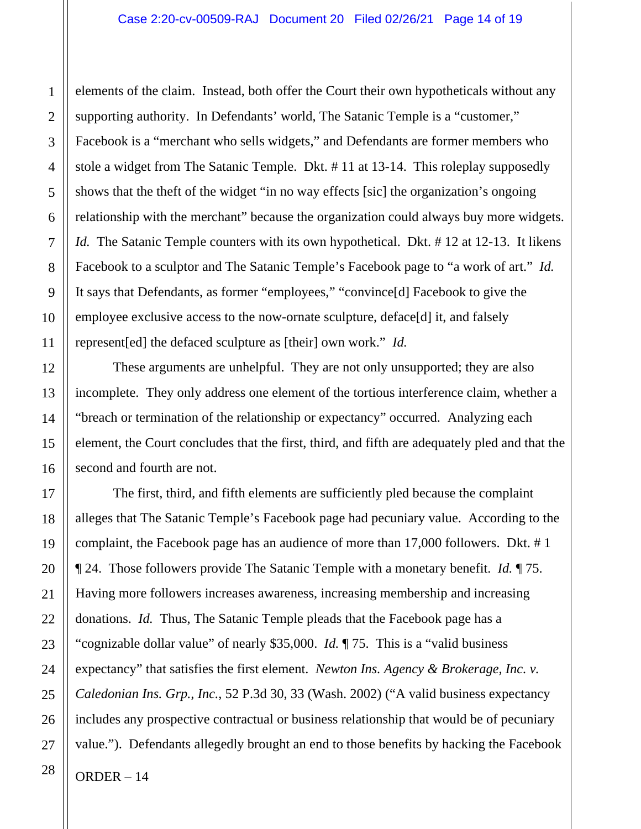elements of the claim. Instead, both offer the Court their own hypotheticals without any supporting authority. In Defendants' world, The Satanic Temple is a "customer," Facebook is a "merchant who sells widgets," and Defendants are former members who stole a widget from The Satanic Temple. Dkt. # 11 at 13-14. This roleplay supposedly shows that the theft of the widget "in no way effects [sic] the organization's ongoing relationship with the merchant" because the organization could always buy more widgets. *Id.* The Satanic Temple counters with its own hypothetical. Dkt. #12 at 12-13. It likens Facebook to a sculptor and The Satanic Temple's Facebook page to "a work of art." *Id.* It says that Defendants, as former "employees," "convince[d] Facebook to give the employee exclusive access to the now-ornate sculpture, deface[d] it, and falsely represent[ed] the defaced sculpture as [their] own work." *Id.*

These arguments are unhelpful. They are not only unsupported; they are also incomplete. They only address one element of the tortious interference claim, whether a "breach or termination of the relationship or expectancy" occurred. Analyzing each element, the Court concludes that the first, third, and fifth are adequately pled and that the second and fourth are not.

ORDER – 14 The first, third, and fifth elements are sufficiently pled because the complaint alleges that The Satanic Temple's Facebook page had pecuniary value. According to the complaint, the Facebook page has an audience of more than 17,000 followers. Dkt. # 1 ¶ 24. Those followers provide The Satanic Temple with a monetary benefit. *Id.* ¶ 75. Having more followers increases awareness, increasing membership and increasing donations. *Id.* Thus, The Satanic Temple pleads that the Facebook page has a "cognizable dollar value" of nearly \$35,000. *Id.* ¶ 75. This is a "valid business expectancy" that satisfies the first element. *Newton Ins. Agency & Brokerage, Inc. v. Caledonian Ins. Grp., Inc.*, 52 P.3d 30, 33 (Wash. 2002) ("A valid business expectancy includes any prospective contractual or business relationship that would be of pecuniary value."). Defendants allegedly brought an end to those benefits by hacking the Facebook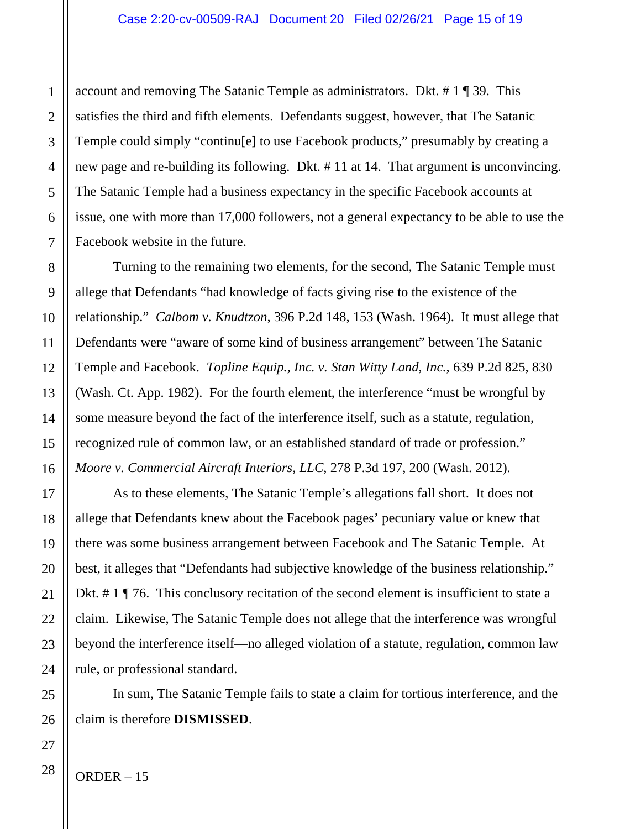account and removing The Satanic Temple as administrators. Dkt. # 1 ¶ 39. This satisfies the third and fifth elements. Defendants suggest, however, that The Satanic Temple could simply "continu[e] to use Facebook products," presumably by creating a new page and re-building its following. Dkt. # 11 at 14. That argument is unconvincing. The Satanic Temple had a business expectancy in the specific Facebook accounts at issue, one with more than 17,000 followers, not a general expectancy to be able to use the Facebook website in the future.

Turning to the remaining two elements, for the second, The Satanic Temple must allege that Defendants "had knowledge of facts giving rise to the existence of the relationship." *Calbom v. Knudtzon*, 396 P.2d 148, 153 (Wash. 1964). It must allege that Defendants were "aware of some kind of business arrangement" between The Satanic Temple and Facebook. *Topline Equip., Inc. v. Stan Witty Land, Inc.*, 639 P.2d 825, 830 (Wash. Ct. App. 1982). For the fourth element, the interference "must be wrongful by some measure beyond the fact of the interference itself, such as a statute, regulation, recognized rule of common law, or an established standard of trade or profession." *Moore v. Commercial Aircraft Interiors, LLC*, 278 P.3d 197, 200 (Wash. 2012).

As to these elements, The Satanic Temple's allegations fall short. It does not allege that Defendants knew about the Facebook pages' pecuniary value or knew that there was some business arrangement between Facebook and The Satanic Temple. At best, it alleges that "Defendants had subjective knowledge of the business relationship." Dkt. # 1 ¶ 76. This conclusory recitation of the second element is insufficient to state a claim. Likewise, The Satanic Temple does not allege that the interference was wrongful beyond the interference itself—no alleged violation of a statute, regulation, common law rule, or professional standard.

In sum, The Satanic Temple fails to state a claim for tortious interference, and the claim is therefore **DISMISSED**.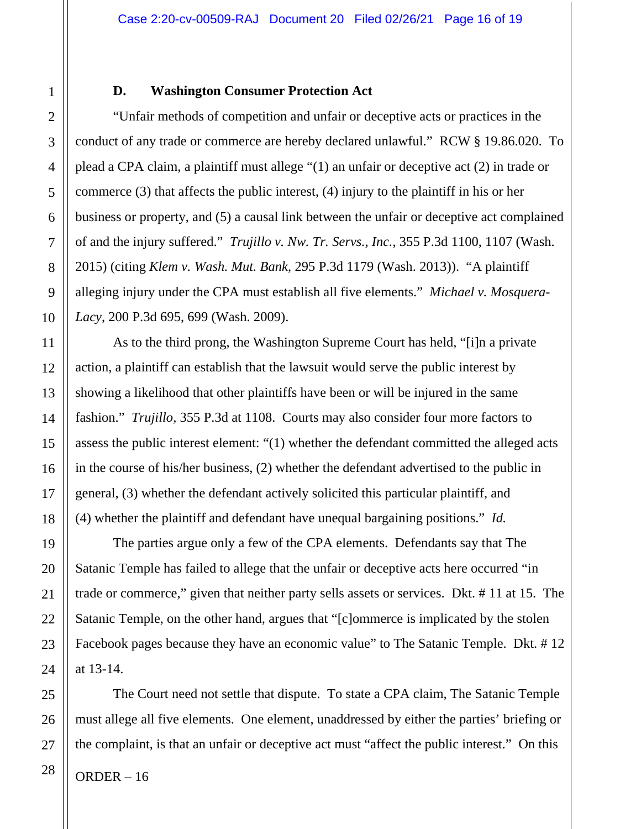#### **D. Washington Consumer Protection Act**

"Unfair methods of competition and unfair or deceptive acts or practices in the conduct of any trade or commerce are hereby declared unlawful." RCW § 19.86.020. To plead a CPA claim, a plaintiff must allege "(1) an unfair or deceptive act (2) in trade or commerce (3) that affects the public interest, (4) injury to the plaintiff in his or her business or property, and (5) a causal link between the unfair or deceptive act complained of and the injury suffered." *Trujillo v. Nw. Tr. Servs., Inc.*, 355 P.3d 1100, 1107 (Wash. 2015) (citing *Klem v. Wash. Mut. Bank*, 295 P.3d 1179 (Wash. 2013)). "A plaintiff alleging injury under the CPA must establish all five elements." *Michael v. Mosquera-Lacy*, 200 P.3d 695, 699 (Wash. 2009).

As to the third prong, the Washington Supreme Court has held, "[i]n a private action, a plaintiff can establish that the lawsuit would serve the public interest by showing a likelihood that other plaintiffs have been or will be injured in the same fashion." *Trujillo*, 355 P.3d at 1108. Courts may also consider four more factors to assess the public interest element: "(1) whether the defendant committed the alleged acts in the course of his/her business, (2) whether the defendant advertised to the public in general, (3) whether the defendant actively solicited this particular plaintiff, and (4) whether the plaintiff and defendant have unequal bargaining positions." *Id.*

The parties argue only a few of the CPA elements. Defendants say that The Satanic Temple has failed to allege that the unfair or deceptive acts here occurred "in trade or commerce," given that neither party sells assets or services. Dkt. # 11 at 15. The Satanic Temple, on the other hand, argues that "[c]ommerce is implicated by the stolen Facebook pages because they have an economic value" to The Satanic Temple. Dkt. # 12 at 13-14.

ORDER – 16 The Court need not settle that dispute. To state a CPA claim, The Satanic Temple must allege all five elements. One element, unaddressed by either the parties' briefing or the complaint, is that an unfair or deceptive act must "affect the public interest." On this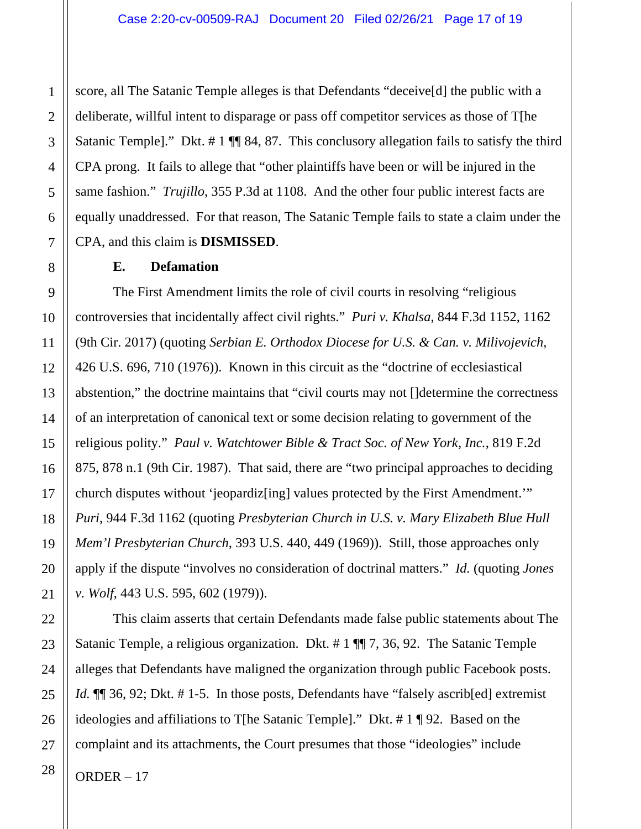score, all The Satanic Temple alleges is that Defendants "deceive[d] the public with a deliberate, willful intent to disparage or pass off competitor services as those of T[he Satanic Temple]." Dkt. #1  $\P$  84, 87. This conclusory allegation fails to satisfy the third CPA prong. It fails to allege that "other plaintiffs have been or will be injured in the same fashion." *Trujillo*, 355 P.3d at 1108. And the other four public interest facts are equally unaddressed. For that reason, The Satanic Temple fails to state a claim under the CPA, and this claim is **DISMISSED**.

#### **E. Defamation**

The First Amendment limits the role of civil courts in resolving "religious controversies that incidentally affect civil rights." *Puri v. Khalsa*, 844 F.3d 1152, 1162 (9th Cir. 2017) (quoting *Serbian E. Orthodox Diocese for U.S. & Can. v. Milivojevich*, 426 U.S. 696, 710 (1976)). Known in this circuit as the "doctrine of ecclesiastical abstention," the doctrine maintains that "civil courts may not []determine the correctness of an interpretation of canonical text or some decision relating to government of the religious polity." *Paul v. Watchtower Bible & Tract Soc. of New York, Inc.*, 819 F.2d 875, 878 n.1 (9th Cir. 1987). That said, there are "two principal approaches to deciding church disputes without 'jeopardiz[ing] values protected by the First Amendment.'" *Puri*, 944 F.3d 1162 (quoting *Presbyterian Church in U.S. v. Mary Elizabeth Blue Hull Mem'l Presbyterian Church*, 393 U.S. 440, 449 (1969)). Still, those approaches only apply if the dispute "involves no consideration of doctrinal matters." *Id.* (quoting *Jones v. Wolf*, 443 U.S. 595, 602 (1979)).

This claim asserts that certain Defendants made false public statements about The Satanic Temple, a religious organization. Dkt. # 1 ¶¶ 7, 36, 92. The Satanic Temple alleges that Defendants have maligned the organization through public Facebook posts. *Id.*  $\P$  36, 92; Dkt. #1-5. In those posts, Defendants have "falsely ascrib[ed] extremist ideologies and affiliations to T[he Satanic Temple]." Dkt. # 1 ¶ 92. Based on the complaint and its attachments, the Court presumes that those "ideologies" include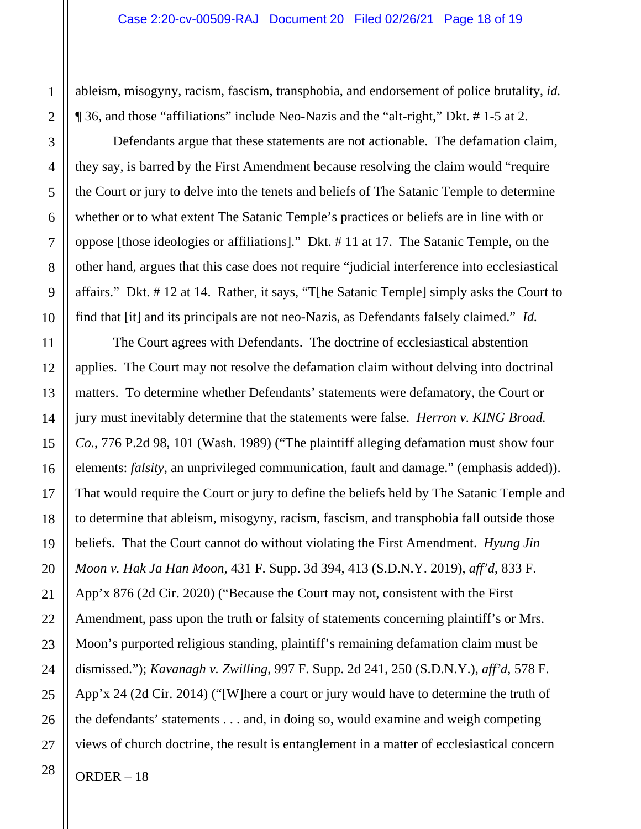ableism, misogyny, racism, fascism, transphobia, and endorsement of police brutality, *id.* ¶ 36, and those "affiliations" include Neo-Nazis and the "alt-right," Dkt. # 1-5 at 2.

Defendants argue that these statements are not actionable. The defamation claim, they say, is barred by the First Amendment because resolving the claim would "require the Court or jury to delve into the tenets and beliefs of The Satanic Temple to determine whether or to what extent The Satanic Temple's practices or beliefs are in line with or oppose [those ideologies or affiliations]." Dkt. # 11 at 17. The Satanic Temple, on the other hand, argues that this case does not require "judicial interference into ecclesiastical affairs." Dkt. # 12 at 14. Rather, it says, "T[he Satanic Temple] simply asks the Court to find that [it] and its principals are not neo-Nazis, as Defendants falsely claimed." *Id.*

The Court agrees with Defendants. The doctrine of ecclesiastical abstention applies. The Court may not resolve the defamation claim without delving into doctrinal matters. To determine whether Defendants' statements were defamatory, the Court or jury must inevitably determine that the statements were false. *Herron v. KING Broad. Co.*, 776 P.2d 98, 101 (Wash. 1989) ("The plaintiff alleging defamation must show four elements: *falsity*, an unprivileged communication, fault and damage." (emphasis added)). That would require the Court or jury to define the beliefs held by The Satanic Temple and to determine that ableism, misogyny, racism, fascism, and transphobia fall outside those beliefs. That the Court cannot do without violating the First Amendment. *Hyung Jin Moon v. Hak Ja Han Moon*, 431 F. Supp. 3d 394, 413 (S.D.N.Y. 2019), *aff'd*, 833 F. App'x 876 (2d Cir. 2020) ("Because the Court may not, consistent with the First Amendment, pass upon the truth or falsity of statements concerning plaintiff's or Mrs. Moon's purported religious standing, plaintiff's remaining defamation claim must be dismissed."); *Kavanagh v. Zwilling*, 997 F. Supp. 2d 241, 250 (S.D.N.Y.), *aff'd*, 578 F. App'x 24 (2d Cir. 2014) ("[W]here a court or jury would have to determine the truth of the defendants' statements . . . and, in doing so, would examine and weigh competing views of church doctrine, the result is entanglement in a matter of ecclesiastical concern